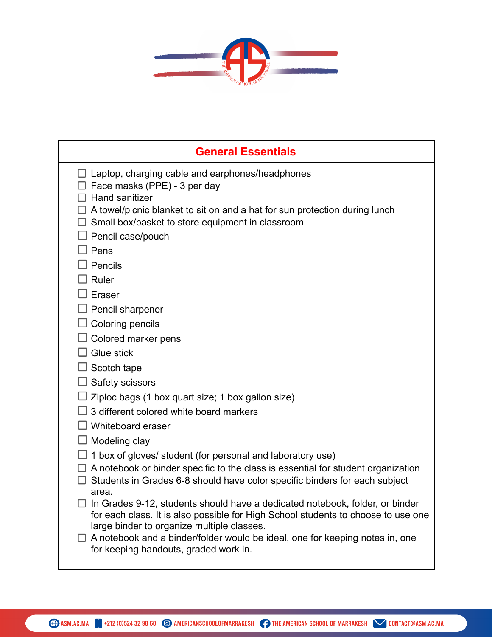

| <b>General Essentials</b>                                                                                                                                                                                              |
|------------------------------------------------------------------------------------------------------------------------------------------------------------------------------------------------------------------------|
| $\Box$ Laptop, charging cable and earphones/headphones<br>$\Box$ Face masks (PPE) - 3 per day<br>Hand sanitizer                                                                                                        |
| A towel/picnic blanket to sit on and a hat for sun protection during lunch<br>$\Box$ Small box/basket to store equipment in classroom                                                                                  |
| Pencil case/pouch                                                                                                                                                                                                      |
| ∃ Pens                                                                                                                                                                                                                 |
| Pencils                                                                                                                                                                                                                |
| J Ruler                                                                                                                                                                                                                |
| Eraser                                                                                                                                                                                                                 |
| <b>J</b> Pencil sharpener                                                                                                                                                                                              |
| $\Box$ Coloring pencils                                                                                                                                                                                                |
| $\Box$ Colored marker pens<br>Glue stick                                                                                                                                                                               |
| $\Box$ Scotch tape                                                                                                                                                                                                     |
| Safety scissors                                                                                                                                                                                                        |
| Ziploc bags (1 box quart size; 1 box gallon size)                                                                                                                                                                      |
| 3 different colored white board markers                                                                                                                                                                                |
| $\Box$ Whiteboard eraser                                                                                                                                                                                               |
| J Modeling clay                                                                                                                                                                                                        |
| 1 box of gloves/ student (for personal and laboratory use)                                                                                                                                                             |
| A notebook or binder specific to the class is essential for student organization<br>Students in Grades 6-8 should have color specific binders for each subject<br>area.                                                |
| $\Box$ In Grades 9-12, students should have a dedicated notebook, folder, or binder<br>for each class. It is also possible for High School students to choose to use one<br>large binder to organize multiple classes. |
| $\Box$ A notebook and a binder/folder would be ideal, one for keeping notes in, one<br>for keeping handouts, graded work in.                                                                                           |